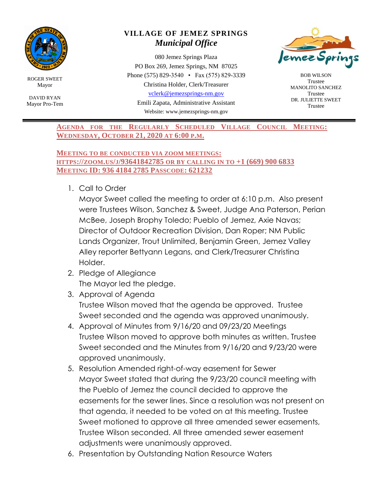

ROGER SWEET Mayor

DAVID RYAN Mayor Pro-Tem

## **VILLAGE OF JEMEZ SPRINGS** *Municipal Office*

080 Jemez Springs Plaza PO Box 269, Jemez Springs, NM 87025 Phone (575) 829-3540 • Fax (575) 829-3339 Christina Holder, Clerk/Treasurer [vclerk@jemezsprings-nm.gov](mailto:vclerk@jemezsprings-nm.gov)

Emili Zapata, Administrative Assistant Website: www.jemezsprings-nm.gov



BOB WILSON Trustee MANOLITO SANCHEZ Trustee DR. JULIETTE SWEET Trustee

**AGENDA FOR THE REGULARLY SCHEDULED VILLAGE COUNCIL MEETING: WEDNESDAY, OCTOBER 21, 2020 AT 6:00 P.M.**

## **MEETING TO BE CONDUCTED VIA ZOOM MEETINGS: HTTPS://ZOOM.US/J/93641842785 OR BY CALLING IN TO +1 (669) 900 6833 MEETING ID: 936 4184 2785 PASSCODE: 621232**

1. Call to Order

Mayor Sweet called the meeting to order at 6:10 p.m. Also present were Trustees Wilson, Sanchez & Sweet, Judge Ana Paterson, Perian McBee, Joseph Brophy Toledo; Pueblo of Jemez, Axie Navas; Director of Outdoor Recreation Division, Dan Roper; NM Public Lands Organizer, Trout Unlimited, Benjamin Green, Jemez Valley Alley reporter Bettyann Legans, and Clerk/Treasurer Christina Holder.

- 2. Pledge of Allegiance The Mayor led the pledge.
- 3. Approval of Agenda Trustee Wilson moved that the agenda be approved. Trustee Sweet seconded and the agenda was approved unanimously.
- 4. Approval of Minutes from 9/16/20 and 09/23/20 Meetings Trustee Wilson moved to approve both minutes as written. Trustee Sweet seconded and the Minutes from 9/16/20 and 9/23/20 were approved unanimously.
- 5. Resolution Amended right-of-way easement for Sewer Mayor Sweet stated that during the 9/23/20 council meeting with the Pueblo of Jemez the council decided to approve the easements for the sewer lines. Since a resolution was not present on that agenda, it needed to be voted on at this meeting. Trustee Sweet motioned to approve all three amended sewer easements, Trustee Wilson seconded. All three amended sewer easement adjustments were unanimously approved.
- 6. Presentation by Outstanding Nation Resource Waters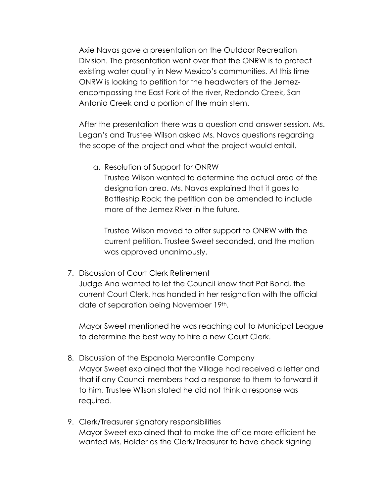Axie Navas gave a presentation on the Outdoor Recreation Division. The presentation went over that the ONRW is to protect existing water quality in New Mexico's communities. At this time ONRW is looking to petition for the headwaters of the Jemezencompassing the East Fork of the river, Redondo Creek, San Antonio Creek and a portion of the main stem.

After the presentation there was a question and answer session. Ms. Legan's and Trustee Wilson asked Ms. Navas questions regarding the scope of the project and what the project would entail.

a. Resolution of Support for ONRW Trustee Wilson wanted to determine the actual area of the designation area. Ms. Navas explained that it goes to Battleship Rock; the petition can be amended to include more of the Jemez River in the future.

Trustee Wilson moved to offer support to ONRW with the current petition. Trustee Sweet seconded, and the motion was approved unanimously.

7. Discussion of Court Clerk Retirement

Judge Ana wanted to let the Council know that Pat Bond, the current Court Clerk, has handed in her resignation with the official date of separation being November 19th.

Mayor Sweet mentioned he was reaching out to Municipal League to determine the best way to hire a new Court Clerk.

- 8. Discussion of the Espanola Mercantile Company Mayor Sweet explained that the Village had received a letter and that if any Council members had a response to them to forward it to him. Trustee Wilson stated he did not think a response was required.
- 9. Clerk/Treasurer signatory responsibilities Mayor Sweet explained that to make the office more efficient he wanted Ms. Holder as the Clerk/Treasurer to have check signing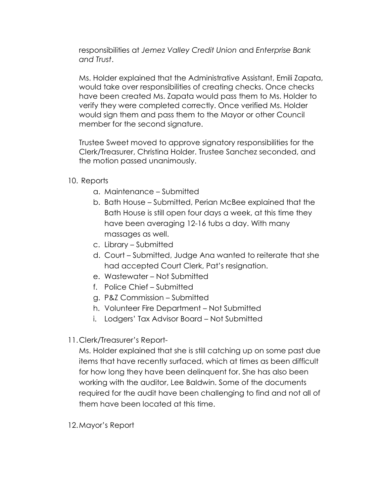responsibilities at *Jemez Valley Credit Union* and *Enterprise Bank and Trust*.

Ms. Holder explained that the Administrative Assistant, Emili Zapata, would take over responsibilities of creating checks. Once checks have been created Ms. Zapata would pass them to Ms. Holder to verify they were completed correctly. Once verified Ms. Holder would sign them and pass them to the Mayor or other Council member for the second signature.

Trustee Sweet moved to approve signatory responsibilities for the Clerk/Treasurer, Christina Holder. Trustee Sanchez seconded, and the motion passed unanimously.

10. Reports

- a. Maintenance Submitted
- b. Bath House Submitted, Perian McBee explained that the Bath House is still open four days a week, at this time they have been averaging 12-16 tubs a day. With many massages as well.
- c. Library Submitted
- d. Court Submitted, Judge Ana wanted to reiterate that she had accepted Court Clerk, Pat's resignation.
- e. Wastewater Not Submitted
- f. Police Chief Submitted
- g. P&Z Commission Submitted
- h. Volunteer Fire Department Not Submitted
- i. Lodgers' Tax Advisor Board Not Submitted
- 11.Clerk/Treasurer's Report-

Ms. Holder explained that she is still catching up on some past due items that have recently surfaced, which at times as been difficult for how long they have been delinquent for. She has also been working with the auditor, Lee Baldwin. Some of the documents required for the audit have been challenging to find and not all of them have been located at this time.

12.Mayor's Report